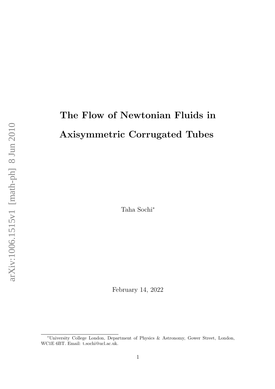# The Flow of Newtonian Fluids in Axisymmetric Corrugated Tubes

Taha Sochi<sup>∗</sup>

February 14, 2022

<sup>∗</sup>University College London, Department of Physics & Astronomy, Gower Street, London, WC1E 6BT. Email: t.sochi@ucl.ac.uk.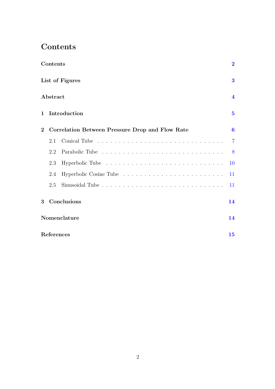### <span id="page-1-0"></span>Contents

| Contents        |              |                                                 |                         |  |
|-----------------|--------------|-------------------------------------------------|-------------------------|--|
| List of Figures |              |                                                 |                         |  |
|                 | Abstract     |                                                 | $\overline{\mathbf{4}}$ |  |
| $\mathbf{1}$    |              | Introduction                                    | $\overline{5}$          |  |
| $\overline{2}$  |              | Correlation Between Pressure Drop and Flow Rate | $\bf{6}$                |  |
|                 | 2.1          |                                                 | $\overline{7}$          |  |
|                 | 2.2          |                                                 | 8                       |  |
|                 | 2.3          |                                                 | 10                      |  |
|                 | 2.4          |                                                 | 11                      |  |
|                 | 2.5          |                                                 | 11                      |  |
| 3               |              | Conclusions                                     | 14                      |  |
|                 | Nomenclature |                                                 |                         |  |
|                 | References   |                                                 |                         |  |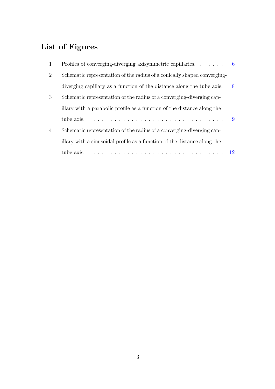# <span id="page-2-0"></span>List of Figures

| 1              | Profiles of converging-diverging axisymmetric capillaries. $\ldots$ .                                      |    |
|----------------|------------------------------------------------------------------------------------------------------------|----|
| $\overline{2}$ | Schematic representation of the radius of a conically shaped converging-                                   |    |
|                | diverging capillary as a function of the distance along the tube axis.                                     | 8  |
| 3              | Schematic representation of the radius of a converging-diverging cap-                                      |    |
|                | illary with a parabolic profile as a function of the distance along the                                    |    |
|                |                                                                                                            | -9 |
| $\overline{4}$ | Schematic representation of the radius of a converging-diverging cap-                                      |    |
|                | illary with a sinusoidal profile as a function of the distance along the                                   |    |
|                | tube axis. $\ldots \ldots \ldots \ldots \ldots \ldots \ldots \ldots \ldots \ldots \ldots \ldots \ldots 12$ |    |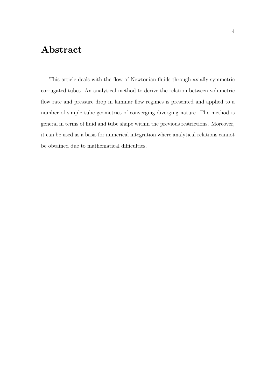## <span id="page-3-0"></span>Abstract

This article deals with the flow of Newtonian fluids through axially-symmetric corrugated tubes. An analytical method to derive the relation between volumetric flow rate and pressure drop in laminar flow regimes is presented and applied to a number of simple tube geometries of converging-diverging nature. The method is general in terms of fluid and tube shape within the previous restrictions. Moreover, it can be used as a basis for numerical integration where analytical relations cannot be obtained due to mathematical difficulties.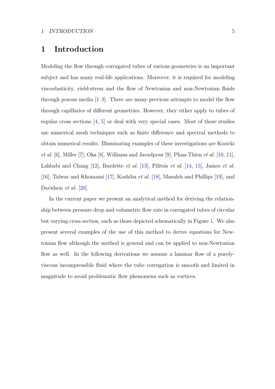#### <span id="page-4-1"></span><span id="page-4-0"></span>1 Introduction

Modeling the flow through corrugated tubes of various geometries is an important subject and has many real-life applications. Moreover, it is required for modeling viscoelasticity, yield-stress and the flow of Newtonian and non-Newtonian fluids through porous media  $[1-3]$  $[1-3]$ . There are many previous attempts to model the flow through capillaries of different geometries. However, they either apply to tubes of regular cross sections [\[4](#page-14-4)[,](#page-14-5) [5\]](#page-14-5) or deal with very special cases. Most of these studies use numerical mesh techniques such as finite difference and spectral methods to obtain numerical results. Illuminating examples of these investigations are Kozicki *et al.* [\[6\]](#page-14-6), Miller [\[7\]](#page-14-7), Oka [\[8\]](#page-14-8)[,](#page-15-1) Williams and Javadpour  $[9]$ , Phan-Thien *et al.* [\[10](#page-15-0), [11\]](#page-15-1), Lahbabi and Chang [\[12\]](#page-15-2)[,](#page-15-5) Burdette *et al.* [\[13\]](#page-15-3), Pilitsis *et al.* [\[14](#page-15-4), [15\]](#page-15-5), James *et al.* [\[16\]](#page-15-6), Talwar and Khomami [\[17\]](#page-15-7), Koshiba et al. [\[18\]](#page-16-0), Masuleh and Phillips [\[19\]](#page-16-1), and Davidson *et al.* [\[20\]](#page-16-2).

In the current paper we present an analytical method for deriving the relationship between pressure drop and volumetric flow rate in corrugated tubes of circular but varying cross section, such as those depicted schematically in Figure [1.](#page-5-1) We also present several examples of the use of this method to derive equations for Newtonian flow although the method is general and can be applied to non-Newtonian flow as well. In the following derivations we assume a laminar flow of a purelyviscous incompressible fluid where the tube corrugation is smooth and limited in magnitude to avoid problematic flow phenomena such as vortices.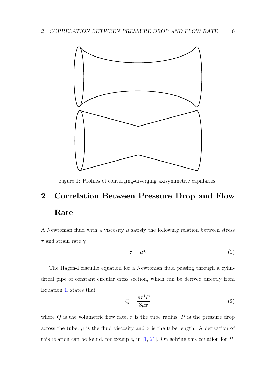<span id="page-5-3"></span><span id="page-5-1"></span>

Figure 1: Profiles of converging-diverging axisymmetric capillaries.

# <span id="page-5-0"></span>2 Correlation Between Pressure Drop and Flow Rate

A Newtonian fluid with a viscosity  $\mu$  satisfy the following relation between stress  $\tau$  and strain rate  $\dot{\gamma}$ 

<span id="page-5-2"></span>
$$
\tau = \mu \dot{\gamma} \tag{1}
$$

The Hagen-Poiseuille equation for a Newtonian fluid passing through a cylindrical pipe of constant circular cross section, which can be derived directly from Equation [1,](#page-5-2) states that

$$
Q = \frac{\pi r^4 P}{8\mu x} \tag{2}
$$

where  $Q$  is the volumetric flow rate,  $r$  is the tube radius,  $P$  is the pressure drop across the tube,  $\mu$  is the fluid viscosity and x is the tube length. A derivation of this relation can be found, for example, in  $[1, 21]$  $[1, 21]$  $[1, 21]$ . On solving this equation for  $P$ ,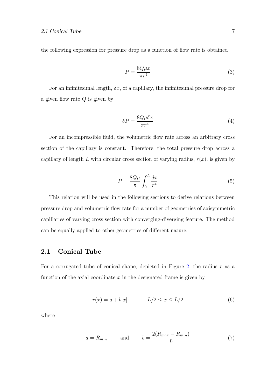#### 2.1 Conical Tube 7

the following expression for pressure drop as a function of flow rate is obtained

$$
P = \frac{8Q\mu x}{\pi r^4} \tag{3}
$$

For an infinitesimal length,  $\delta x$ , of a capillary, the infinitesimal pressure drop for a given flow rate  $Q$  is given by

$$
\delta P = \frac{8Q\mu\delta x}{\pi r^4} \tag{4}
$$

For an incompressible fluid, the volumetric flow rate across an arbitrary cross section of the capillary is constant. Therefore, the total pressure drop across a capillary of length L with circular cross section of varying radius,  $r(x)$ , is given by

<span id="page-6-1"></span>
$$
P = \frac{8Q\mu}{\pi} \int_0^L \frac{dx}{r^4}
$$
 (5)

This relation will be used in the following sections to derive relations between pressure drop and volumetric flow rate for a number of geometries of axisymmetric capillaries of varying cross section with converging-diverging feature. The method can be equally applied to other geometries of different nature.

#### <span id="page-6-0"></span>2.1 Conical Tube

For a corrugated tube of conical shape, depicted in Figure [2,](#page-7-1) the radius  $r$  as a function of the axial coordinate  $x$  in the designated frame is given by

$$
r(x) = a + b|x| \qquad -L/2 \le x \le L/2 \tag{6}
$$

where

$$
a = R_{min} \qquad \text{and} \qquad b = \frac{2(R_{max} - R_{min})}{L} \tag{7}
$$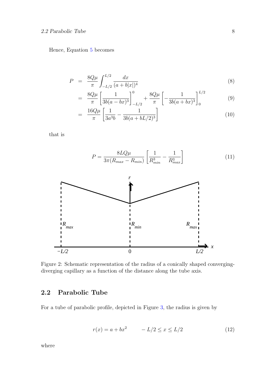#### 2.2 Parabolic Tube 8

Hence, Equation [5](#page-6-1) becomes

$$
P = \frac{8Q\mu}{\pi} \int_{-L/2}^{L/2} \frac{dx}{(a+b|x|)^4}
$$
(8)

$$
= \frac{8Q\mu}{\pi} \left[ \frac{1}{3b(a-bx)^3} \right]_{-L/2}^0 + \frac{8Q\mu}{\pi} \left[ -\frac{1}{3b(a+bx)^3} \right]_0^{L/2} \tag{9}
$$

<span id="page-7-2"></span>
$$
= \frac{16Q\mu}{\pi} \left[ \frac{1}{3a^3b} - \frac{1}{3b(a+bL/2)^3} \right] \tag{10}
$$

that is

<span id="page-7-1"></span>

Figure 2: Schematic representation of the radius of a conically shaped convergingdiverging capillary as a function of the distance along the tube axis.

#### <span id="page-7-0"></span>2.2 Parabolic Tube

For a tube of parabolic profile, depicted in Figure [3,](#page-8-0) the radius is given by

$$
r(x) = a + bx^2 \qquad -L/2 \le x \le L/2 \tag{12}
$$

where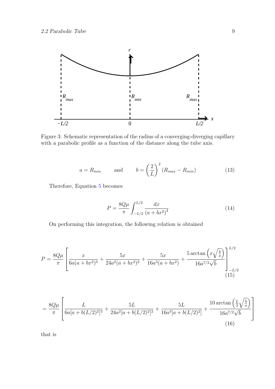<span id="page-8-0"></span>

Figure 3: Schematic representation of the radius of a converging-diverging capillary with a parabolic profile as a function of the distance along the tube axis.

$$
a = R_{min} \qquad \text{and} \qquad b = \left(\frac{2}{L}\right)^2 (R_{max} - R_{min}) \tag{13}
$$

Therefore, Equation [5](#page-6-1) becomes

$$
P = \frac{8Q\mu}{\pi} \int_{-L/2}^{L/2} \frac{dx}{(a + bx^2)^4}
$$
 (14)

On performing this integration, the following relation is obtained

$$
P = \frac{8Q\mu}{\pi} \left[ \frac{x}{6a(a+bx^2)^3} + \frac{5x}{24a^2(a+bx^2)^2} + \frac{5x}{16a^3(a+bx^2)} + \frac{5\arctan\left(x\sqrt{\frac{b}{a}}\right)}{16a^{7/2}\sqrt{b}} \right]_{-L/2}^{L/2}
$$
(15)

$$
= \frac{8Q\mu}{\pi} \left[ \frac{L}{6a[a+b(L/2)^2]^3} + \frac{5L}{24a^2[a+b(L/2)^2]^2} + \frac{5L}{16a^3[a+b(L/2)^2]} + \frac{10\arctan\left(\frac{L}{2}\sqrt{\frac{b}{a}}\right)}{16a^{7/2}\sqrt{b}} \right]
$$
(16)

that is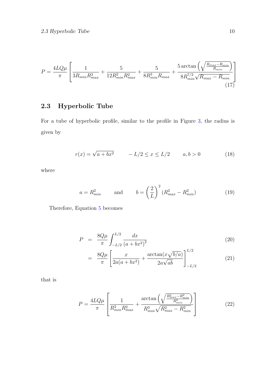<span id="page-9-1"></span>
$$
P = \frac{4LQ\mu}{\pi} \left[ \frac{1}{3R_{min}R_{max}^3} + \frac{5}{12R_{min}^2R_{max}^2} + \frac{5}{8R_{min}^3R_{max}} + \frac{5 \arctan\left(\sqrt{\frac{R_{max} - R_{min}}{R_{min}}}\right)}{8R_{min}^{7/2}\sqrt{R_{max} - R_{min}}} \right]
$$
(17)

### <span id="page-9-0"></span>2.3 Hyperbolic Tube

For a tube of hyperbolic profile, similar to the profile in Figure [3,](#page-8-0) the radius is given by

$$
r(x) = \sqrt{a + bx^2} \qquad -L/2 \le x \le L/2 \qquad a, b > 0 \tag{18}
$$

where

$$
a = R_{min}^2 \qquad \text{and} \qquad b = \left(\frac{2}{L}\right)^2 \left(R_{max}^2 - R_{min}^2\right) \tag{19}
$$

Therefore, Equation [5](#page-6-1) becomes

$$
P = \frac{8Q\mu}{\pi} \int_{-L/2}^{L/2} \frac{dx}{(a+bx^2)^2}
$$
 (20)

$$
= \frac{8Q\mu}{\pi} \left[ \frac{x}{2a(a+bx^2)} + \frac{\arctan(x\sqrt{b/a})}{2a\sqrt{ab}} \right]_{-L/2}^{L/2}
$$
(21)

that is

<span id="page-9-2"></span>
$$
P = \frac{4LQ\mu}{\pi} \left[ \frac{1}{R_{min}^2 R_{max}^2} + \frac{\arctan\left(\sqrt{\frac{R_{max}^2 - R_{min}^2}{R_{min}^2}}\right)}{R_{min}^3 \sqrt{R_{max}^2 - R_{min}^2}} \right]
$$
(22)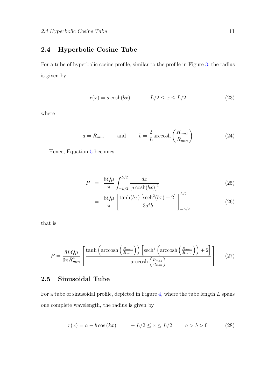#### <span id="page-10-0"></span>2.4 Hyperbolic Cosine Tube

For a tube of hyperbolic cosine profile, similar to the profile in Figure [3,](#page-8-0) the radius is given by

$$
r(x) = a \cosh(bx) \qquad -L/2 \le x \le L/2 \tag{23}
$$

where

$$
a = R_{min} \qquad \text{and} \qquad b = \frac{2}{L} \operatorname{arccosh}\left(\frac{R_{max}}{R_{min}}\right) \tag{24}
$$

Hence, Equation [5](#page-6-1) becomes

$$
P = \frac{8Q\mu}{\pi} \int_{-L/2}^{L/2} \frac{dx}{[a\cosh(bx)]^4}
$$
 (25)

$$
= \frac{8Q\mu}{\pi} \left[ \frac{\tanh(bx) \left[ \mathrm{sech}^2(bx) + 2 \right]}{3a^4b} \right]_{-L/2}^{L/2}
$$
(26)

that is

<span id="page-10-2"></span>
$$
P = \frac{8LQ\mu}{3\pi R_{min}^4} \left[ \frac{\tanh\left(\operatorname{arccosh}\left(\frac{R_{max}}{R_{min}}\right)\right) \left[\operatorname{sech}^2\left(\operatorname{arccosh}\left(\frac{R_{max}}{R_{min}}\right)\right) + 2\right]}{\operatorname{arccosh}\left(\frac{R_{max}}{R_{min}}\right)}\right] \tag{27}
$$

#### <span id="page-10-1"></span>2.5 Sinusoidal Tube

For a tube of sinusoidal profile, depicted in Figure [4,](#page-11-0) where the tube length  $L$  spans one complete wavelength, the radius is given by

$$
r(x) = a - b\cos(kx) - L/2 \le x \le L/2 \qquad a > b > 0 \tag{28}
$$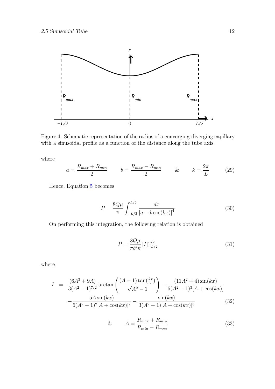<span id="page-11-0"></span>

Figure 4: Schematic representation of the radius of a converging-diverging capillary with a sinusoidal profile as a function of the distance along the tube axis.

where

$$
a = \frac{R_{max} + R_{min}}{2} \qquad b = \frac{R_{max} - R_{min}}{2} \qquad & k = \frac{2\pi}{L} \qquad (29)
$$

Hence, Equation [5](#page-6-1) becomes

$$
P = \frac{8Q\mu}{\pi} \int_{-L/2}^{L/2} \frac{dx}{\left[a - b\cos(kx)\right]^4}
$$
(30)

On performing this integration, the following relation is obtained

$$
P = \frac{8Q\mu}{\pi b^4 k} \left[ I \right]_{-L/2}^{L/2} \tag{31}
$$

where

$$
I = \frac{(6A^3 + 9A)}{3(A^2 - 1)^{7/2}} \arctan\left(\frac{(A - 1)\tan(\frac{kx}{2})}{\sqrt{A^2 - 1}}\right) - \frac{(11A^2 + 4)\sin(kx)}{6(A^2 - 1)^3[A + \cos(kx)]} - \frac{5A\sin(kx)}{6(A^2 - 1)^2[A + \cos(kx)]^2} - \frac{\sin(kx)}{3(A^2 - 1)[A + \cos(kx)]^3}
$$
(32)

$$
\& \qquad A = \frac{R_{max} + R_{min}}{R_{min} - R_{max}} \tag{33}
$$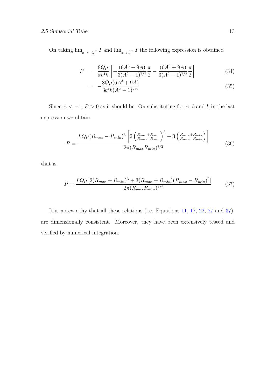#### 2.5 Sinusoidal Tube 13

On taking  $\lim_{x \to -\frac{L}{2}^+} I$  and  $\lim_{x \to \frac{L}{2}^-} I$  the following expression is obtained

$$
P = \frac{8Q\mu}{\pi b^4 k} \left[ -\frac{(6A^3 + 9A)}{3(A^2 - 1)^{7/2}} \frac{\pi}{2} - \frac{(6A^3 + 9A)}{3(A^2 - 1)^{7/2}} \frac{\pi}{2} \right]
$$
(34)

$$
= -\frac{8Q\mu(6A^3 + 9A)}{3b^4k(A^2 - 1)^{7/2}}\tag{35}
$$

Since  $A < -1$ ,  $P > 0$  as it should be. On substituting for A, b and k in the last expression we obtain

$$
P = \frac{LQ\mu(R_{max} - R_{min})^3 \left[2\left(\frac{R_{max} + R_{min}}{R_{max} - R_{min}}\right)^3 + 3\left(\frac{R_{max} + R_{min}}{R_{max} - R_{min}}\right)\right]}{2\pi (R_{max} R_{min})^{7/2}}
$$
(36)

that is

<span id="page-12-0"></span>
$$
P = \frac{LQ\mu \left[2(R_{max} + R_{min})^3 + 3(R_{max} + R_{min})(R_{max} - R_{min})^2\right]}{2\pi (R_{max} R_{min})^{7/2}}\tag{37}
$$

It is noteworthy that all these relations (i.e. Equations [11,](#page-7-2) [17,](#page-9-1) [22,](#page-9-2) [27](#page-10-2) and [37\)](#page-12-0), are dimensionally consistent. Moreover, they have been extensively tested and verified by numerical integration.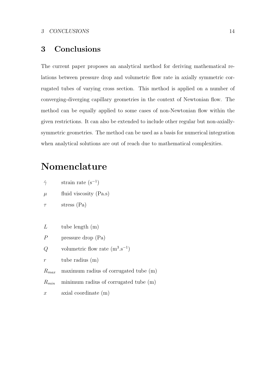### <span id="page-13-0"></span>3 Conclusions

The current paper proposes an analytical method for deriving mathematical relations between pressure drop and volumetric flow rate in axially symmetric corrugated tubes of varying cross section. This method is applied on a number of converging-diverging capillary geometries in the context of Newtonian flow. The method can be equally applied to some cases of non-Newtonian flow within the given restrictions. It can also be extended to include other regular but non-axiallysymmetric geometries. The method can be used as a basis for numerical integration when analytical solutions are out of reach due to mathematical complexities.

### <span id="page-13-1"></span>Nomenclature

| strain rate $(s^{-1})$ |  |
|------------------------|--|
|------------------------|--|

 $\mu$  fluid viscosity (Pa.s)

 $\tau$  stress (Pa)

 $L$  tube length  $(m)$ 

- P pressure drop (Pa)
- Q volumetric flow rate  $(m^3.s^{-1})$

 $r$  tube radius  $(m)$ 

 $R_{max}$  maximum radius of corrugated tube (m)

 $R_{min}$  minimum radius of corrugated tube  $(m)$ 

x axial coordinate (m)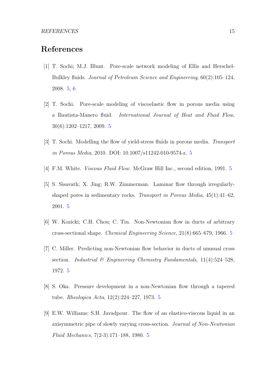### <span id="page-14-0"></span>References

- <span id="page-14-1"></span>[1] T. Sochi; M.J. Blunt. Pore-scale network modeling of Ellis and Herschel-Bulkley fluids. Journal of Petroleum Science and Engineering, 60(2):105–124, 2008. [5,](#page-4-1) [6](#page-5-3)
- <span id="page-14-2"></span>[2] T. Sochi. Pore-scale modeling of viscoelastic flow in porous media using a Bautista-Manero fluid. International Journal of Heat and Fluid Flow, 30(6):1202–1217, 2009. [5](#page-4-1)
- <span id="page-14-3"></span>[3] T. Sochi. Modelling the flow of yield-stress fluids in porous media. Transport in Porous Media, 2010. DOI: 10.1007/s11242-010-9574-z. [5](#page-4-1)
- <span id="page-14-4"></span>[4] F.M. White. Viscous Fluid Flow. McGraw Hill Inc., second edition, 1991. [5](#page-4-1)
- <span id="page-14-5"></span>[5] S. Sisavath; X. Jing; R.W. Zimmerman. Laminar flow through irregularlyshaped pores in sedimentary rocks. Transport in Porous Media,  $45(1)$ : $41-62$ , 2001. [5](#page-4-1)
- <span id="page-14-6"></span>[6] W. Kozicki; C.H. Chou; C. Tiu. Non-Newtonian flow in ducts of arbitrary cross-sectional shape. Chemical Engineering Science, 21(8):665–679, 1966. [5](#page-4-1)
- <span id="page-14-7"></span>[7] C. Miller. Predicting non-Newtonian flow behavior in ducts of unusual cross section. Industrial  $\mathcal{B}$  Engineering Chemistry Fundamentals, 11(4):524-528, 1972. [5](#page-4-1)
- <span id="page-14-8"></span>[8] S. Oka. Pressure development in a non-Newtonian flow through a tapered tube. Rheologica Acta, 12(2):224–227, 1973. [5](#page-4-1)
- <span id="page-14-9"></span>[9] E.W. Williams; S.H. Javadpour. The flow of an elastico-viscous liquid in an axisymmetric pipe of slowly varying cross-section. Journal of Non-Newtonian Fluid Mechanics, 7(2-3):171–188, 1980. [5](#page-4-1)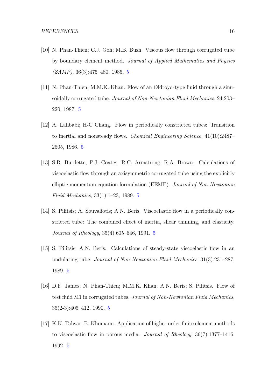- <span id="page-15-0"></span>[10] N. Phan-Thien; C.J. Goh; M.B. Bush. Viscous flow through corrugated tube by boundary element method. Journal of Applied Mathematics and Physics  $(ZAMP)$ , 36(3):47[5](#page-4-1)–480, 1985. 5
- <span id="page-15-1"></span>[11] N. Phan-Thien; M.M.K. Khan. Flow of an Oldroyd-type fluid through a sinusoidally corrugated tube. Journal of Non-Newtonian Fluid Mechanics, 24:203– 220, 1987. [5](#page-4-1)
- <span id="page-15-2"></span>[12] A. Lahbabi; H-C Chang. Flow in periodically constricted tubes: Transition to inertial and nonsteady flows. Chemical Engineering Science, 41(10):2487– 2505, 1986. [5](#page-4-1)
- <span id="page-15-3"></span>[13] S.R. Burdette; P.J. Coates; R.C. Armstrong; R.A. Brown. Calculations of viscoelastic flow through an axisymmetric corrugated tube using the explicitly elliptic momentum equation formulation (EEME). Journal of Non-Newtonian Fluid Mechanics, 33(1):1–23, 1989. [5](#page-4-1)
- <span id="page-15-4"></span>[14] S. Pilitsis; A. Souvaliotis; A.N. Beris. Viscoelastic flow in a periodically constricted tube: The combined effect of inertia, shear thinning, and elasticity. Journal of Rheology, 35(4):605–646, 1991. [5](#page-4-1)
- <span id="page-15-5"></span>[15] S. Pilitsis; A.N. Beris. Calculations of steady-state viscoelastic flow in an undulating tube. Journal of Non-Newtonian Fluid Mechanics, 31(3):231–287, 1989. [5](#page-4-1)
- <span id="page-15-6"></span>[16] D.F. James; N. Phan-Thien; M.M.K. Khan; A.N. Beris; S. Pilitsis. Flow of test fluid M1 in corrugated tubes. Journal of Non-Newtonian Fluid Mechanics, 35(2-3):405–412, 1990. [5](#page-4-1)
- <span id="page-15-7"></span>[17] K.K. Talwar; B. Khomami. Application of higher order finite element methods to viscoelastic flow in porous media. Journal of Rheology, 36(7):1377–1416, 1992. [5](#page-4-1)